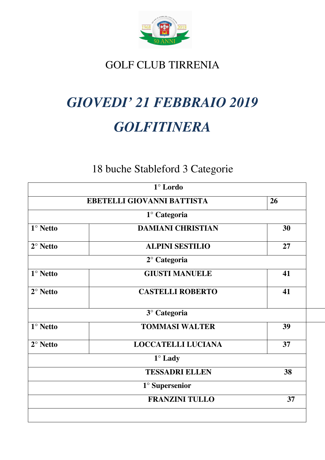

# GOLF CLUB TIRRENIA

# *GIOVEDI' 21 FEBBRAIO 2019 GOLFITINERA*

# 18 buche Stableford 3 Categorie

|                 | $1^\circ$ Lordo            |    |  |  |
|-----------------|----------------------------|----|--|--|
|                 | EBETELLI GIOVANNI BATTISTA | 26 |  |  |
|                 | 1° Categoria               |    |  |  |
| $1^\circ$ Netto | <b>DAMIANI CHRISTIAN</b>   | 30 |  |  |
| $2^\circ$ Netto | <b>ALPINI SESTILIO</b>     | 27 |  |  |
|                 | $2^{\circ}$ Categoria      |    |  |  |
| $1^\circ$ Netto | <b>GIUSTI MANUELE</b>      | 41 |  |  |
| $2^\circ$ Netto | <b>CASTELLI ROBERTO</b>    | 41 |  |  |
|                 | 3° Categoria               |    |  |  |
| $1^\circ$ Netto | <b>TOMMASI WALTER</b>      | 39 |  |  |
| $2^\circ$ Netto | <b>LOCCATELLI LUCIANA</b>  | 37 |  |  |
|                 | $1^\circ$ Lady             |    |  |  |
|                 | <b>TESSADRI ELLEN</b>      | 38 |  |  |
|                 | $1^\circ$ Supersenior      |    |  |  |
|                 | <b>FRANZINI TULLO</b>      | 37 |  |  |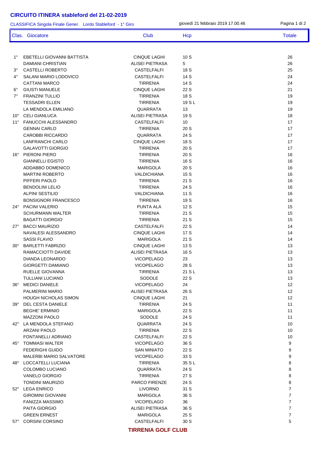1° EBETELLI GIOVANNI BATTISTA CINQUE LAGHI 10 S 26 DAMIANI CHRISTIAN ALISEI PIETRASA 5 26 3° CASTELLI ROBERTO CASTELFALFI 18 S 25 4° SALANI MARIO LODOVICO CASTELFALFI 14 S 24 CATTANI MARCO 24 6° GIUSTI MANUELE CINQUE LAGHI 22 S 21 7° FRANZINI TULLIO TIRRENIA 18 S 19 TESSADRI ELLEN 19 NOVEMBER 19 SETTERENIA 19 S L LA MENDOLA EMILIANO QUARRATA 13 19 10° CELI GIANLUCA 199 ALISEI PIETRASA 19 S 11° FANUCCHI ALESSANDRO CASTELFALFI 10 17 GENNAI CARLO TIRRENIA 20 S 17 CAROBBI RICCARDO QUARRATA 24 S 17 LANFRANCHI CARLO CINQUE LAGHI 18 S 17 GALAVOTTI GIORGIO TIRRENIA 20 S 17 16° PIERONI PIERO TIRRENIA 20 S 16 GIANNELLI EGISTO TIRRENIA 16 S 16 ADDABBO DOMENICO MARIGOLA 20 S 16 MARTINI ROBERTO VALDICHIANA 15 S 16 PIFFERI PAOLO TIRRENIA 21 S 16 BENDOLINI LELIO TIRRENIA 24 S 16 ALPINI SESTILIO 16 NOVEMBRI 2001 NALDICHIANA 11 S BONSIGNORI FRANCESCO TIRRENIA 19 S 16 24º PACINI VALERIO 15 SCHURMANN WALTER TIRRENIA 21 S 15 BAGATTI GIORGIO TIRRENIA 21 S 15 27° BACCI MAURIZIO CASTELFALFI 22 S 14 NAVALESI ALESSANDRO CINQUE LAGHI 17 S 14 SASSI FLAVIO MARIGOLA 21 S 14 30° BARLETTI FABRIZIO CINQUE LAGHI 13 S 13 RAMACCIOTTI DAVIDE ALISEI PIETRASA 16 S 13 DIANDA LEONARDO VICOPELAGO 23 13 GIORGETTI DAMIANO VICOPELAGO 28 S 13 RUELLE GIOVANNA 13 TULLIANI LUCIANO 13 36° MEDICI DANIELE VICOPELAGO 24 12 PALMERINI MARIO ALISEI PIETRASA 26 S 12 HOUGH NICHOLAS SIMON CINQUE LAGHI 21 12 39° DEL CESTA DANIELE TIRRENIA 24 S 11 BEGHE' ERMINIO MARIGOLA 22 S 11 MAZZONI PAOLO SODOLE 24 S 11 42° LA MENDOLA STEFANO QUARRATA 24 S 10 ARZANI PAOLO TIRRENIA 22 S 10 FONTANELLI ADRIANO CASTELFALFI 22 S 10  $45^{\circ}$  TOMMASI WALTER  $9$ FEDERIGHI GUIDO SAN MINIATO 22 S 9 MALERBI MARIO SALVATORE VICOPELAGO 33 S 9 48° LOCCATELLI LUCIANA TIRRENIA 35 S L 8 COLOMBO LUCIANO 8 VANELO GIORGIO TIRRENIA 27 S 8 TONDINI MAURIZIO BELLETINI PARCO FIRENZE 24 S 8 52° LEGA ENRICO LIVORNO 31 S 7 GIROMINI GIOVANNI MARIGOLA 36 S 7 FANIZZA MASSIMO VICOPELAGO 36 7 PAITA GIORGIO ALISEI PIETRASA 36 S 7 CLASSIFICA Singola Finale Gener. Lordo Stableford - 1° Giro giovedì 21 febbraio 2019 17.00.46 Pagina 1 di 2 Clas. Giocatore Club Club Hcp Totale Totale

**TIRRENIA GOLF CLUB**

GREEN ERNEST TERM IN THE MARIGOLA THE 25 ST AND THE 25 ST AND THE 25 ST AND THE 25 ST AND THE 25 ST AND THE 25 ST AND THE 25 ST AND THE 25 ST AND THE 25 ST AND THE 25 ST AND THE 25 ST AND THE 25 ST AND THE 25 ST AND THE 25 57° CORSINI CORSINO CASTELFALFI 30 S 5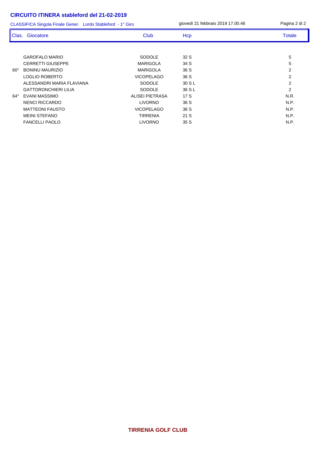GAROFALO MARIO SODOLE 32 S 5 CERRETTI GIUSEPPE MARIGOLA 34 S 5 60° BONINU MAURIZIO MARIGOLA 36 S 2 LOGLIO ROBERTO VICOPELAGO 36 S 2 ALESSANDRI MARIA FLAVIANA SODOLE 30 S L 2 GATTORONCHIERI LILIA SODOLE 36 S L 64° EVANI MASSIMO ALISEI PIETRASA 17 S N.R. NENCI RICCARDO LIVORNO 36 S N.P. MATTEONI FAUSTO **12.1 International CONTENTS CONTENTS OF STATE OF STATE OF STATE OF STATE OF STATE OF STATE OF STATE OF STATE OF STATE OF STATE OF STATE OF STATE OF STATE OF STATE OF STATE OF STATE OF STATE OF STATE OF STA** MEINI STEFANO TIRRENIA 21 S N.P. FANCELLI PAOLO LIVORNO 35 S N.P. CLASSIFICA Singola Finale Gener. Lordo Stableford - 1° Giro giovedì 21 febbraio 2019 17.00.46 Pagina 2 di 2 Clas. Giocatore Club Club Hcp Totale Totale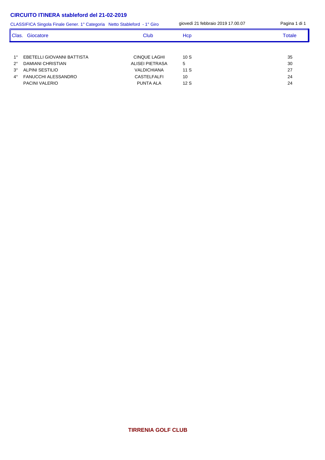|             | CLASSIFICA Singola Finale Gener. 1° Categoria Netto Stableford - 1° Giro |                     | giovedì 21 febbraio 2019 17.00.07 | Pagina 1 di 1 |
|-------------|--------------------------------------------------------------------------|---------------------|-----------------------------------|---------------|
| l Clas.     | Giocatore                                                                | Club                | Hcp                               | <b>Totale</b> |
|             |                                                                          |                     |                                   |               |
| $1^{\circ}$ | EBETELLI GIOVANNI BATTISTA                                               | <b>CINQUE LAGHI</b> | 10S                               | 35            |
| $2^{\circ}$ | DAMIANI CHRISTIAN                                                        | ALISEI PIETRASA     | 5                                 | 30            |
| $3^\circ$   | ALPINI SESTILIO                                                          | <b>VALDICHIANA</b>  | 11S                               | 27            |
| $4^\circ$   | FANUCCHI ALESSANDRO                                                      | <b>CASTELFALFI</b>  | 10                                | 24            |
|             | <b>PACINI VALERIO</b>                                                    | <b>PUNTA ALA</b>    | 12S                               | 24            |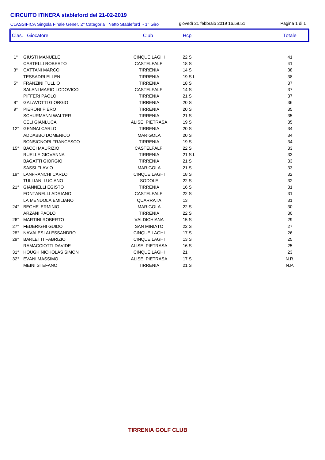CLASSIFICA Singola Finale Gener. 2° Categoria Netto Stableford - 1° Giro

giovedì 21 febbraio 2019 16.59.51 Pagina 1 di 1

|              | Clas. Giocatore             | Club                   | Hcp    | <b>Totale</b> |
|--------------|-----------------------------|------------------------|--------|---------------|
|              |                             |                        |        |               |
| $1^{\circ}$  | <b>GIUSTI MANUELE</b>       | <b>CINQUE LAGHI</b>    | 22 S   | 41            |
|              | <b>CASTELLI ROBERTO</b>     | <b>CASTELFALFI</b>     | 18 S   | 41            |
| $3^\circ$    | <b>CATTANI MARCO</b>        | <b>TIRRENIA</b>        | 14 S   | 38            |
|              | <b>TESSADRI ELLEN</b>       | <b>TIRRENIA</b>        | 19 S L | 38            |
| $5^\circ$    | <b>FRANZINI TULLIO</b>      | <b>TIRRENIA</b>        | 18 S   | 37            |
|              | SALANI MARIO LODOVICO       | <b>CASTELFALFI</b>     | 14 S   | 37            |
|              | PIFFERI PAOLO               | <b>TIRRENIA</b>        | 21S    | 37            |
| $8^{\circ}$  | <b>GALAVOTTI GIORGIO</b>    | <b>TIRRENIA</b>        | 20S    | 36            |
| 9°           | PIERONI PIERO               | <b>TIRRENIA</b>        | 20S    | 35            |
|              | <b>SCHURMANN WALTER</b>     | <b>TIRRENIA</b>        | 21S    | 35            |
|              | <b>CELI GIANLUCA</b>        | <b>ALISEI PIETRASA</b> | 19S    | 35            |
| $12^{\circ}$ | <b>GENNAI CARLO</b>         | <b>TIRRENIA</b>        | 20S    | 34            |
|              | ADDABBO DOMENICO            | <b>MARIGOLA</b>        | 20S    | 34            |
|              | <b>BONSIGNORI FRANCESCO</b> | <b>TIRRENIA</b>        | 19 S   | 34            |
| $15^\circ$   | <b>BACCI MAURIZIO</b>       | <b>CASTELFALFI</b>     | 22 S   | 33            |
|              | RUELLE GIOVANNA             | <b>TIRRENIA</b>        | 21 S L | 33            |
|              | <b>BAGATTI GIORGIO</b>      | <b>TIRRENIA</b>        | 21S    | 33            |
|              | <b>SASSI FLAVIO</b>         | <b>MARIGOLA</b>        | 21S    | 33            |
|              | 19° LANFRANCHI CARLO        | <b>CINQUE LAGHI</b>    | 18 S   | 32            |
|              | <b>TULLIANI LUCIANO</b>     | SODOLE                 | 22 S   | 32            |
| $21^{\circ}$ | <b>GIANNELLI EGISTO</b>     | <b>TIRRENIA</b>        | 16 S   | 31            |
|              | <b>FONTANELLI ADRIANO</b>   | <b>CASTELFALFI</b>     | 22 S   | 31            |
|              | LA MENDOLA EMILIANO         | QUARRATA               | 13     | 31            |
| $24^{\circ}$ | <b>BEGHE' ERMINIO</b>       | <b>MARIGOLA</b>        | 22 S   | 30            |
|              | <b>ARZANI PAOLO</b>         | <b>TIRRENIA</b>        | 22 S   | 30            |
| $26^{\circ}$ | <b>MARTINI ROBERTO</b>      | <b>VALDICHIANA</b>     | 15 S   | 29            |
| $27^\circ$   | <b>FEDERIGHI GUIDO</b>      | <b>SAN MINIATO</b>     | 22 S   | 27            |
| $28^\circ$   | NAVALESI ALESSANDRO         | <b>CINQUE LAGHI</b>    | 17S    | 26            |
| $29^\circ$   | <b>BARLETTI FABRIZIO</b>    | <b>CINQUE LAGHI</b>    | 13S    | 25            |
|              | RAMACCIOTTI DAVIDE          | <b>ALISEI PIETRASA</b> | 16 S   | 25            |
| $31^\circ$   | <b>HOUGH NICHOLAS SIMON</b> | <b>CINQUE LAGHI</b>    | 21     | 23            |
| $32^\circ$   | <b>EVANI MASSIMO</b>        | <b>ALISEI PIETRASA</b> | 17 S   | N.R.          |
|              | <b>MEINI STEFANO</b>        | <b>TIRRENIA</b>        | 21 S   | N.P.          |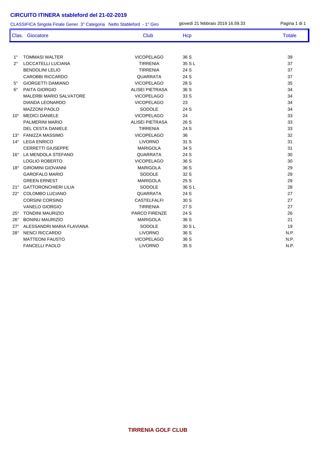CLASSIFICA Singola Finale Gener. 3° Categoria Netto Stableford - 1° Giro

giovedì 21 febbraio 2019 16.59.33 Pagina 1 di 1

|               | Clas. Giocatore                | <b>Club</b>            | Hcp    | <b>Totale</b> |
|---------------|--------------------------------|------------------------|--------|---------------|
|               |                                |                        |        |               |
| $1^{\circ}$   | <b>TOMMASI WALTER</b>          | <b>VICOPELAGO</b>      | 36 S   | 39            |
| $2^{\circ}$   | <b>LOCCATELLI LUCIANA</b>      | <b>TIRRENIA</b>        | 35 S L | 37            |
|               | <b>BENDOLINI LELIO</b>         | <b>TIRRENIA</b>        | 24 S   | 37            |
|               | <b>CAROBBI RICCARDO</b>        | <b>QUARRATA</b>        | 24 S   | 37            |
| $5^{\circ}$   | <b>GIORGETTI DAMIANO</b>       | <b>VICOPELAGO</b>      | 28 S   | 35            |
| $6^{\circ}$   | PAITA GIORGIO                  | <b>ALISEI PIETRASA</b> | 36 S   | 34            |
|               | <b>MALERBI MARIO SALVATORE</b> | <b>VICOPELAGO</b>      | 33 S   | 34            |
|               | <b>DIANDA LEONARDO</b>         | <b>VICOPELAGO</b>      | 23     | 34            |
|               | <b>MAZZONI PAOLO</b>           | SODOLE                 | 24 S   | 34            |
| 10 $^{\circ}$ | <b>MEDICI DANIELE</b>          | <b>VICOPELAGO</b>      | 24     | 33            |
|               | PALMERINI MARIO                | <b>ALISEI PIETRASA</b> | 26 S   | 33            |
|               | <b>DEL CESTA DANIELE</b>       | <b>TIRRENIA</b>        | 24 S   | 33            |
| $13^\circ$    | <b>FANIZZA MASSIMO</b>         | <b>VICOPELAGO</b>      | 36     | 32            |
| $14^{\circ}$  | <b>LEGA ENRICO</b>             | <b>LIVORNO</b>         | 31 S   | 31            |
|               | <b>CERRETTI GIUSEPPE</b>       | <b>MARIGOLA</b>        | 34 S   | 31            |
| $16^{\circ}$  | LA MENDOLA STEFANO             | <b>QUARRATA</b>        | 24 S   | 30            |
|               | <b>LOGLIO ROBERTO</b>          | <b>VICOPELAGO</b>      | 36 S   | 30            |
| $18^\circ$    | <b>GIROMINI GIOVANNI</b>       | <b>MARIGOLA</b>        | 36 S   | 29            |
|               | <b>GAROFALO MARIO</b>          | <b>SODOLE</b>          | 32 S   | 29            |
|               | <b>GREEN ERNEST</b>            | <b>MARIGOLA</b>        | 25 S   | 29            |
| $21^{\circ}$  | <b>GATTORONCHIERI LILIA</b>    | SODOLE                 | 36 S L | 28            |
| $22^{\circ}$  | <b>COLOMBO LUCIANO</b>         | <b>QUARRATA</b>        | 24 S   | 27            |
|               | <b>CORSINI CORSINO</b>         | <b>CASTELFALFI</b>     | 30 S   | 27            |
|               | <b>VANELO GIORGIO</b>          | <b>TIRRENIA</b>        | 27 S   | 27            |
| $25^\circ$    | <b>TONDINI MAURIZIO</b>        | PARCO FIRENZE          | 24 S   | 26            |
| $26^\circ$    | <b>BONINU MAURIZIO</b>         | <b>MARIGOLA</b>        | 36 S   | 21            |
| $27^\circ$    | ALESSANDRI MARIA FLAVIANA      | SODOLE                 | 30 S L | 19            |
| $28^\circ$    | <b>NENCI RICCARDO</b>          | <b>LIVORNO</b>         | 36 S   | N.P.          |
|               | <b>MATTEONI FAUSTO</b>         | <b>VICOPELAGO</b>      | 36 S   | N.P.          |
|               | <b>FANCELLI PAOLO</b>          | <b>LIVORNO</b>         | 35S    | N.P.          |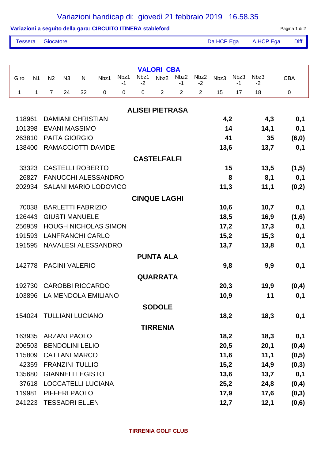### Variazioni handicap di: giovedì 21 febbraio 2019 16.58.35

|                |                |                         |                |                          | Variazioni a seguito della gara: CIRCUITO ITINERA stableford |             |              |                        |                |                |            |            |                           | Pagina 1 di 2 |
|----------------|----------------|-------------------------|----------------|--------------------------|--------------------------------------------------------------|-------------|--------------|------------------------|----------------|----------------|------------|------------|---------------------------|---------------|
| <b>Tessera</b> |                | Giocatore               |                |                          |                                                              |             |              |                        |                |                | Da HCP Ega |            | A HCP Ega                 | Diff.         |
|                |                |                         |                |                          |                                                              |             |              |                        |                |                |            |            |                           |               |
|                |                |                         |                |                          |                                                              |             |              | <b>VALORI CBA</b>      |                |                |            |            |                           |               |
| Giro           | N <sub>1</sub> | N <sub>2</sub>          | N <sub>3</sub> | N                        | Nbz1                                                         | Nbz1<br>-1  | Nbz1<br>$-2$ | Nbz2                   | Nbz2<br>-1     | Nbz2<br>$-2$   | Nbz3       | Nbz3<br>-1 | N <sub>bz</sub> 3<br>$-2$ | <b>CBA</b>    |
| 1              | 1              | $\overline{7}$          | 24             | 32                       | 0                                                            | $\mathbf 0$ | 0            | $\overline{2}$         | $\overline{2}$ | $\overline{2}$ | 15         | 17         | 18                        | $\pmb{0}$     |
|                |                |                         |                |                          |                                                              |             |              | <b>ALISEI PIETRASA</b> |                |                |            |            |                           |               |
| 118961         |                |                         |                | <b>DAMIANI CHRISTIAN</b> |                                                              |             |              |                        |                |                | 4,2        |            | 4,3                       | 0,1           |
| 101398         |                |                         |                | <b>EVANI MASSIMO</b>     |                                                              |             |              |                        |                |                |            | 14         | 14,1                      | 0,1           |
| 263810         |                |                         |                | <b>PAITA GIORGIO</b>     |                                                              |             |              |                        |                |                | 41         |            | 35                        | (6, 0)        |
| 138400         |                |                         |                |                          | <b>RAMACCIOTTI DAVIDE</b>                                    |             |              |                        |                |                | 13,6       |            | 13,7                      | 0,1           |
|                |                |                         |                |                          |                                                              |             |              | <b>CASTELFALFI</b>     |                |                |            |            |                           |               |
|                | 33323          |                         |                | <b>CASTELLI ROBERTO</b>  |                                                              |             |              |                        |                |                |            | 15         | 13,5                      | (1,5)         |
|                | 26827          |                         |                |                          | <b>FANUCCHI ALESSANDRO</b>                                   |             |              |                        |                |                |            | 8          | 8,1                       | 0,1           |
| 202934         |                |                         |                |                          | <b>SALANI MARIO LODOVICO</b>                                 |             |              |                        |                |                | 11,3       |            | 11,1                      | (0,2)         |
|                |                |                         |                |                          |                                                              |             |              | <b>CINQUE LAGHI</b>    |                |                |            |            |                           |               |
|                | 70038          |                         |                | <b>BARLETTI FABRIZIO</b> |                                                              |             |              |                        |                |                | 10,6       |            | 10,7                      | 0,1           |
| 126443         |                |                         |                | <b>GIUSTI MANUELE</b>    |                                                              |             |              |                        |                |                | 18,5       |            | 16,9                      | (1,6)         |
| 256959         |                |                         |                |                          | <b>HOUGH NICHOLAS SIMON</b>                                  |             |              |                        |                |                | 17,2       |            | 17,3                      | 0,1           |
| 191593         |                |                         |                |                          | <b>LANFRANCHI CARLO</b>                                      |             |              |                        |                |                | 15,2       |            | 15,3                      | 0,1           |
| 191595         |                |                         |                |                          | NAVALESI ALESSANDRO                                          |             |              |                        |                |                | 13,7       |            | 13,8                      | 0,1           |
|                |                |                         |                |                          |                                                              |             |              | <b>PUNTA ALA</b>       |                |                |            |            |                           |               |
| 142778         |                |                         |                | <b>PACINI VALERIO</b>    |                                                              |             |              |                        |                |                | 9,8        |            | 9,9                       | 0,1           |
|                |                |                         |                |                          |                                                              |             |              | <b>QUARRATA</b>        |                |                |            |            |                           |               |
| 192730         |                |                         |                |                          | <b>CAROBBI RICCARDO</b>                                      |             |              |                        |                |                | 20,3       |            | 19,9                      | (0,4)         |
| 103896         |                |                         |                |                          | LA MENDOLA EMILIANO                                          |             |              |                        |                |                | 10,9       |            | 11                        | 0,1           |
|                |                |                         |                |                          |                                                              |             |              | <b>SODOLE</b>          |                |                |            |            |                           |               |
| 154024         |                | <b>TULLIANI LUCIANO</b> |                |                          |                                                              |             |              |                        |                |                | 18,2       |            | 18,3                      | 0,1           |
|                |                |                         |                |                          |                                                              |             |              | <b>TIRRENIA</b>        |                |                |            |            |                           |               |
| 163935         |                |                         |                | <b>ARZANI PAOLO</b>      |                                                              |             |              |                        |                |                | 18,2       |            | 18,3                      | 0,1           |
| 206503         |                |                         |                | <b>BENDOLINI LELIO</b>   |                                                              |             |              |                        |                |                | 20,5       |            | 20,1                      | (0,4)         |
| 115809         |                |                         |                | <b>CATTANI MARCO</b>     |                                                              |             |              |                        |                |                | 11,6       |            | 11,1                      | (0,5)         |
|                | 42359          |                         |                | <b>FRANZINI TULLIO</b>   |                                                              |             |              |                        |                |                | 15,2       |            | 14,9                      | (0,3)         |
| 135680         |                |                         |                | <b>GIANNELLI EGISTO</b>  |                                                              |             |              |                        |                |                | 13,6       |            | 13,7                      | 0,1           |
|                | 37618          |                         |                |                          | LOCCATELLI LUCIANA                                           |             |              |                        |                |                | 25,2       |            | 24,8                      | (0,4)         |
| 119981         |                |                         |                | PIFFERI PAOLO            |                                                              |             |              |                        |                |                | 17,9       |            | 17,6                      | (0,3)         |
| 241223         |                | <b>TESSADRI ELLEN</b>   |                |                          |                                                              |             |              |                        |                |                | 12,7       |            | 12,1                      | (0,6)         |